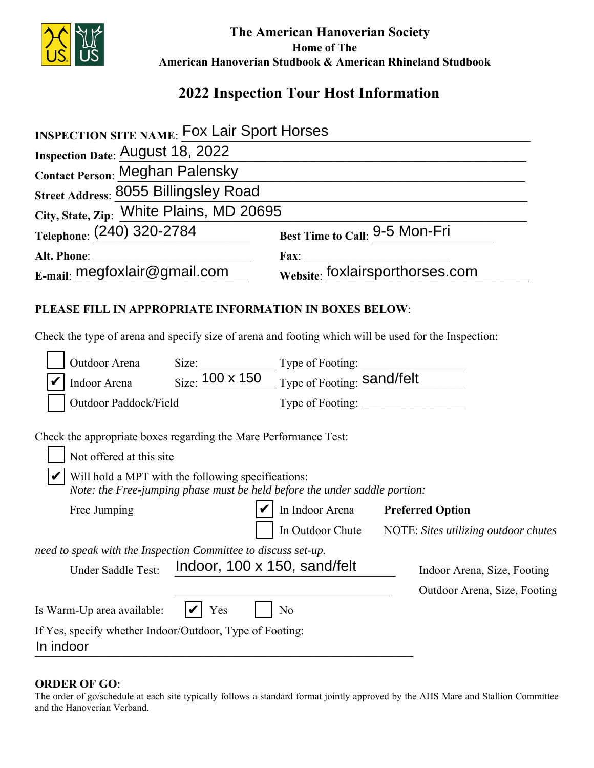

 **The American Hanoverian Society Home of The American Hanoverian Studbook & American Rhineland Studbook**

# **2022 Inspection Tour Host Information**

| <b>INSPECTION SITE NAME: FOX Lair Sport Horses</b>                                                                                                             |                                                             |  |
|----------------------------------------------------------------------------------------------------------------------------------------------------------------|-------------------------------------------------------------|--|
| <b>Inspection Date: August 18, 2022</b>                                                                                                                        |                                                             |  |
| <b>Contact Person: Meghan Palensky</b>                                                                                                                         |                                                             |  |
| Street Address: 8055 Billingsley Road                                                                                                                          |                                                             |  |
| City, State, Zip: White Plains, MD 20695                                                                                                                       |                                                             |  |
| Telephone: (240) 320-2784                                                                                                                                      | Best Time to Call: 9-5 Mon-Fri                              |  |
| Alt. Phone:                                                                                                                                                    | Fax: $\qquad \qquad$                                        |  |
| $_{\rm E-mail:}$ megfoxlair@gmail.com                                                                                                                          | Website: foxlairsporthorses.com                             |  |
| PLEASE FILL IN APPROPRIATE INFORMATION IN BOXES BELOW:<br>Check the type of arena and specify size of arena and footing which will be used for the Inspection: |                                                             |  |
| Outdoor Arena                                                                                                                                                  |                                                             |  |
| Indoor Arena                                                                                                                                                   | Size: 100 x 150<br>Type of Footing: Sand/felt               |  |
| Outdoor Paddock/Field                                                                                                                                          |                                                             |  |
| Check the appropriate boxes regarding the Mare Performance Test:<br>Not offered at this site                                                                   |                                                             |  |
| Will hold a MPT with the following specifications:<br>Note: the Free-jumping phase must be held before the under saddle portion:                               |                                                             |  |
| Free Jumping                                                                                                                                                   | In Indoor Arena Preferred Option                            |  |
|                                                                                                                                                                | In Outdoor Chute NOTE: Sites utilizing outdoor chutes       |  |
| need to speak with the Inspection Committee to discuss set-up.<br>Indoor, 100 x 150, sand/felt<br>Under Saddle Test:                                           | Indoor Arena, Size, Footing<br>Outdoor Arena, Size, Footing |  |
| Is Warm-Up area available:<br>Yes                                                                                                                              | N <sub>o</sub>                                              |  |
| If Yes, specify whether Indoor/Outdoor, Type of Footing:<br>In indoor                                                                                          |                                                             |  |

#### **ORDER OF GO**:

The order of go/schedule at each site typically follows a standard format jointly approved by the AHS Mare and Stallion Committee and the Hanoverian Verband.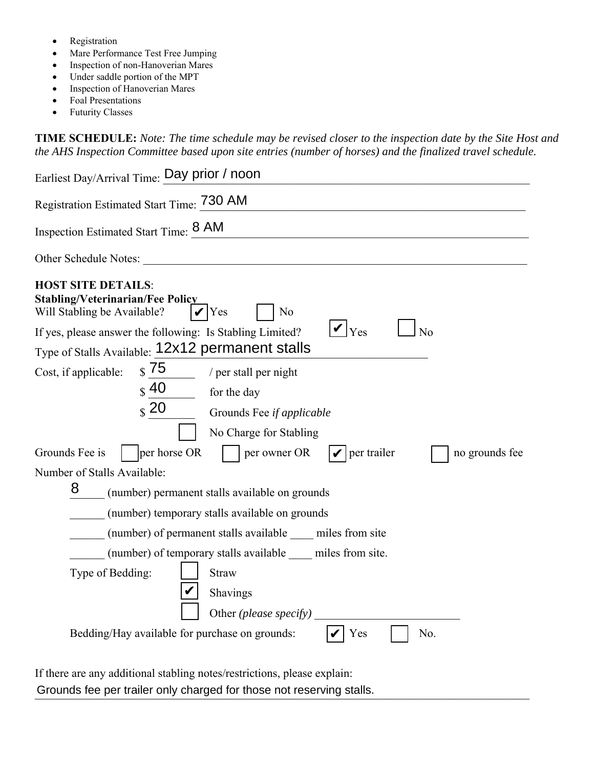- Registration
- Mare Performance Test Free Jumping
- Inspection of non-Hanoverian Mares
- Under saddle portion of the MPT
- Inspection of Hanoverian Mares
- Foal Presentations
- Futurity Classes

**TIME SCHEDULE:** *Note: The time schedule may be revised closer to the inspection date by the Site Host and the AHS Inspection Committee based upon site entries (number of horses) and the finalized travel schedule.* 

| Earliest Day/Arrival Time: Day prior / noon                                                                                                                                                                                                                                           |
|---------------------------------------------------------------------------------------------------------------------------------------------------------------------------------------------------------------------------------------------------------------------------------------|
| Registration Estimated Start Time: 730 AM                                                                                                                                                                                                                                             |
| Inspection Estimated Start Time: 8 AM                                                                                                                                                                                                                                                 |
| Other Schedule Notes:                                                                                                                                                                                                                                                                 |
| <b>HOST SITE DETAILS:</b><br><b>Stabling/Veterinarian/Fee Policy</b><br>Will Stabling be Available?<br>N <sub>o</sub><br>Yes<br>$ V _{\text{Yes}}$<br>If yes, please answer the following: Is Stabling Limited?<br>N <sub>o</sub><br>Type of Stalls Available: 12x12 permanent stalls |
| $S$ 75                                                                                                                                                                                                                                                                                |
| Cost, if applicable:<br>/ per stall per night<br>$\frac{1}{3}$ 40                                                                                                                                                                                                                     |
| for the day                                                                                                                                                                                                                                                                           |
| $\frac{1}{2}$ 20<br>Grounds Fee if applicable                                                                                                                                                                                                                                         |
| No Charge for Stabling                                                                                                                                                                                                                                                                |
| per horse OR<br>Grounds Fee is<br>per owner OR<br>per trailer<br>no grounds fee                                                                                                                                                                                                       |
| Number of Stalls Available:                                                                                                                                                                                                                                                           |
| 8<br>(number) permanent stalls available on grounds                                                                                                                                                                                                                                   |
| (number) temporary stalls available on grounds                                                                                                                                                                                                                                        |
| (number) of permanent stalls available miles from site                                                                                                                                                                                                                                |
| (number) of temporary stalls available _____ miles from site.                                                                                                                                                                                                                         |
| Type of Bedding:<br><b>Straw</b>                                                                                                                                                                                                                                                      |
|                                                                                                                                                                                                                                                                                       |
| Shavings                                                                                                                                                                                                                                                                              |
| Other (please specify)                                                                                                                                                                                                                                                                |
| Bedding/Hay available for purchase on grounds:<br>No.<br>Yes                                                                                                                                                                                                                          |
|                                                                                                                                                                                                                                                                                       |

If there are any additional stabling notes/restrictions, please explain: Grounds fee per trailer only charged for those not reserving stalls.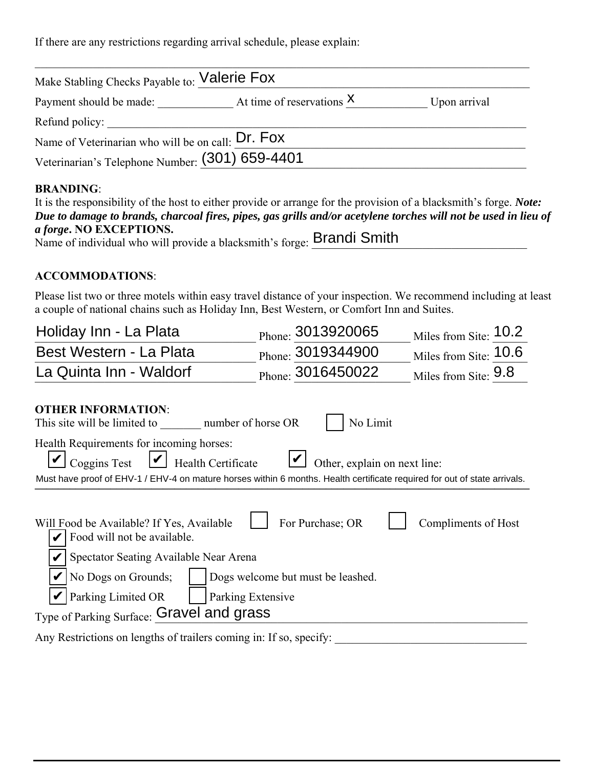If there are any restrictions regarding arrival schedule, please explain:

| Make Stabling Checks Payable to: Valerie Fox      |                             |              |
|---------------------------------------------------|-----------------------------|--------------|
| Payment should be made:                           | At time of reservations $X$ | Upon arrival |
| Refund policy:                                    |                             |              |
| Name of Veterinarian who will be on call: Dr. Fox |                             |              |
| Veterinarian's Telephone Number: (301) 659-4401   |                             |              |

## **BRANDING**:

| It is the responsibility of the host to either provide or arrange for the provision of a blacksmith's forge. Note: |
|--------------------------------------------------------------------------------------------------------------------|
| Due to damage to brands, charcoal fires, pipes, gas grills and/or acetylene torches will not be used in lieu of    |
| <i>a forge.</i> NO EXCEPTIONS.                                                                                     |
| Name of individual who will provide a blacksmith's forge: Brandi Smith                                             |

## **ACCOMMODATIONS**:

Please list two or three motels within easy travel distance of your inspection. We recommend including at least a couple of national chains such as Holiday Inn, Best Western, or Comfort Inn and Suites.

| Holiday Inn - La Plata                                                                                                    | Phone: 3013920065            | Miles from Site: 10.2 |  |  |
|---------------------------------------------------------------------------------------------------------------------------|------------------------------|-----------------------|--|--|
| Best Western - La Plata                                                                                                   | Phone: 3019344900            | Miles from Site: 10.6 |  |  |
| La Quinta Inn - Waldorf                                                                                                   | Phone: 3016450022            | Miles from Site: 9.8  |  |  |
| <b>OTHER INFORMATION:</b><br>This site will be limited to number of horse OR                                              | No Limit                     |                       |  |  |
| Health Requirements for incoming horses:<br>$\cup$ Coggins Test<br>Health Certificate<br>$\boldsymbol{V}$                 | Other, explain on next line: |                       |  |  |
| Must have proof of EHV-1 / EHV-4 on mature horses within 6 months. Health certificate required for out of state arrivals. |                              |                       |  |  |
| Will Food be Available? If Yes, Available<br>Food will not be available.                                                  | For Purchase; OR             | Compliments of Host   |  |  |
| Spectator Seating Available Near Arena                                                                                    |                              |                       |  |  |
| No Dogs on Grounds;<br>Dogs welcome but must be leashed.                                                                  |                              |                       |  |  |
| Parking Limited OR<br>Parking Extensive                                                                                   |                              |                       |  |  |
| Type of Parking Surface: Gravel and grass                                                                                 |                              |                       |  |  |
| Any Restrictions on lengths of trailers coming in: If so, specify:                                                        |                              |                       |  |  |